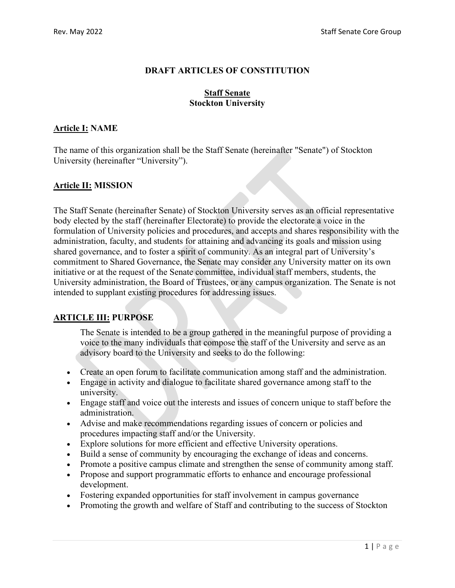## **DRAFT ARTICLES OF CONSTITUTION**

#### **Staff Senate Stockton University**

## **Article I: NAME**

The name of this organization shall be the Staff Senate (hereinafter "Senate") of Stockton University (hereinafter "University").

## **Article II: MISSION**

The Staff Senate (hereinafter Senate) of Stockton University serves as an official representative body elected by the staff (hereinafter Electorate) to provide the electorate a voice in the formulation of University policies and procedures, and accepts and shares responsibility with the administration, faculty, and students for attaining and advancing its goals and mission using shared governance, and to foster a spirit of community. As an integral part of University's commitment to Shared Governance, the Senate may consider any University matter on its own initiative or at the request of the Senate committee, individual staff members, students, the University administration, the Board of Trustees, or any campus organization. The Senate is not intended to supplant existing procedures for addressing issues.

# **ARTICLE III: PURPOSE**

The Senate is intended to be a group gathered in the meaningful purpose of providing a voice to the many individuals that compose the staff of the University and serve as an advisory board to the University and seeks to do the following:

- Create an open forum to facilitate communication among staff and the administration.
- Engage in activity and dialogue to facilitate shared governance among staff to the university.
- Engage staff and voice out the interests and issues of concern unique to staff before the administration.
- Advise and make recommendations regarding issues of concern or policies and procedures impacting staff and/or the University.
- Explore solutions for more efficient and effective University operations.
- Build a sense of community by encouraging the exchange of ideas and concerns.
- Promote a positive campus climate and strengthen the sense of community among staff.
- Propose and support programmatic efforts to enhance and encourage professional development.
- Fostering expanded opportunities for staff involvement in campus governance
- Promoting the growth and welfare of Staff and contributing to the success of Stockton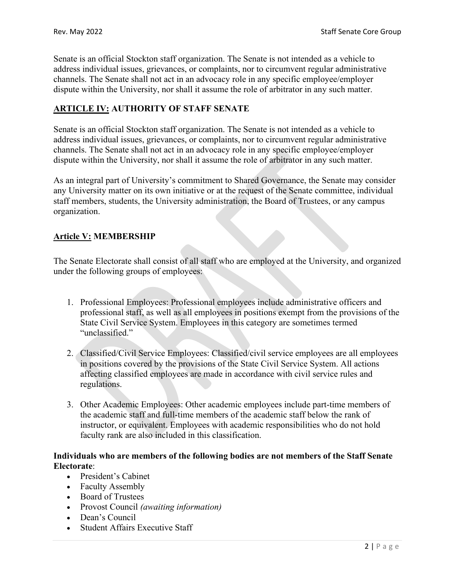Senate is an official Stockton staff organization. The Senate is not intended as a vehicle to address individual issues, grievances, or complaints, nor to circumvent regular administrative channels. The Senate shall not act in an advocacy role in any specific employee/employer dispute within the University, nor shall it assume the role of arbitrator in any such matter.

## **ARTICLE IV: AUTHORITY OF STAFF SENATE**

Senate is an official Stockton staff organization. The Senate is not intended as a vehicle to address individual issues, grievances, or complaints, nor to circumvent regular administrative channels. The Senate shall not act in an advocacy role in any specific employee/employer dispute within the University, nor shall it assume the role of arbitrator in any such matter.

As an integral part of University's commitment to Shared Governance, the Senate may consider any University matter on its own initiative or at the request of the Senate committee, individual staff members, students, the University administration, the Board of Trustees, or any campus organization.

## **Article V: MEMBERSHIP**

The Senate Electorate shall consist of all staff who are employed at the University, and organized under the following groups of employees:

- 1. Professional Employees: Professional employees include administrative officers and professional staff, as well as all employees in positions exempt from the provisions of the State Civil Service System. Employees in this category are sometimes termed "unclassified."
- 2. Classified/Civil Service Employees: Classified/civil service employees are all employees in positions covered by the provisions of the State Civil Service System. All actions affecting classified employees are made in accordance with civil service rules and regulations.
- 3. Other Academic Employees: Other academic employees include part-time members of the academic staff and full-time members of the academic staff below the rank of instructor, or equivalent. Employees with academic responsibilities who do not hold faculty rank are also included in this classification.

### **Individuals who are members of the following bodies are not members of the Staff Senate Electorate**:

- President's Cabinet
- Faculty Assembly
- Board of Trustees
- Provost Council *(awaiting information)*
- Dean's Council
- Student Affairs Executive Staff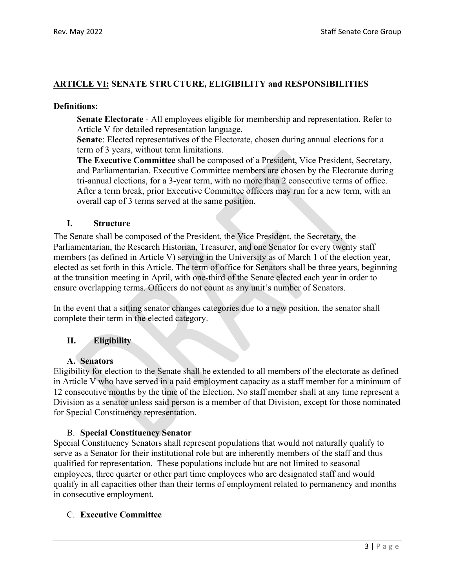## **ARTICLE VI: SENATE STRUCTURE, ELIGIBILITY and RESPONSIBILITIES**

#### **Definitions:**

**Senate Electorate** - All employees eligible for membership and representation. Refer to Article V for detailed representation language.

**Senate**: Elected representatives of the Electorate, chosen during annual elections for a term of 3 years, without term limitations.

**The Executive Committee** shall be composed of a President, Vice President, Secretary, and Parliamentarian. Executive Committee members are chosen by the Electorate during tri-annual elections, for a 3-year term, with no more than 2 consecutive terms of office. After a term break, prior Executive Committee officers may run for a new term, with an overall cap of 3 terms served at the same position.

### **I. Structure**

The Senate shall be composed of the President, the Vice President, the Secretary, the Parliamentarian, the Research Historian, Treasurer, and one Senator for every twenty staff members (as defined in Article V) serving in the University as of March 1 of the election year, elected as set forth in this Article. The term of office for Senators shall be three years, beginning at the transition meeting in April, with one-third of the Senate elected each year in order to ensure overlapping terms. Officers do not count as any unit's number of Senators.

In the event that a sitting senator changes categories due to a new position, the senator shall complete their term in the elected category.

## **II. Eligibility**

## **A. Senators**

Eligibility for election to the Senate shall be extended to all members of the electorate as defined in Article V who have served in a paid employment capacity as a staff member for a minimum of 12 consecutive months by the time of the Election. No staff member shall at any time represent a Division as a senator unless said person is a member of that Division, except for those nominated for Special Constituency representation.

## B. **Special Constituency Senator**

Special Constituency Senators shall represent populations that would not naturally qualify to serve as a Senator for their institutional role but are inherently members of the staff and thus qualified for representation. These populations include but are not limited to seasonal employees, three quarter or other part time employees who are designated staff and would qualify in all capacities other than their terms of employment related to permanency and months in consecutive employment.

## C. **Executive Committee**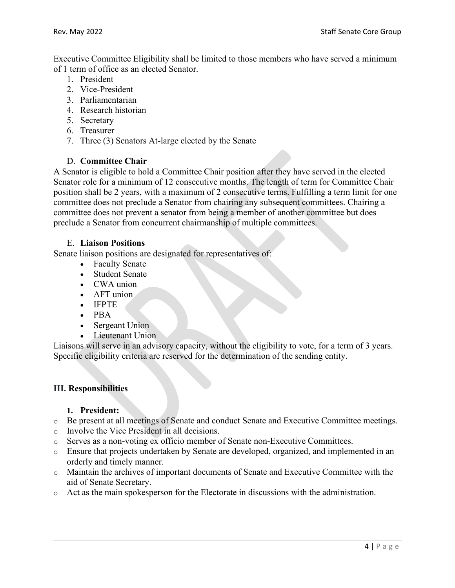Executive Committee Eligibility shall be limited to those members who have served a minimum of 1 term of office as an elected Senator.

- 1. President
- 2. Vice-President
- 3. Parliamentarian
- 4. Research historian
- 5. Secretary
- 6. Treasurer
- 7. Three (3) Senators At-large elected by the Senate

## D. **Committee Chair**

A Senator is eligible to hold a Committee Chair position after they have served in the elected Senator role for a minimum of 12 consecutive months. The length of term for Committee Chair position shall be 2 years, with a maximum of 2 consecutive terms. Fulfilling a term limit for one committee does not preclude a Senator from chairing any subsequent committees. Chairing a committee does not prevent a senator from being a member of another committee but does preclude a Senator from concurrent chairmanship of multiple committees.

### E. **Liaison Positions**

Senate liaison positions are designated for representatives of:

- Faculty Senate
- Student Senate
- CWA union
- AFT union
- IFPTE
- PBA
- Sergeant Union
- Lieutenant Union

Liaisons will serve in an advisory capacity, without the eligibility to vote, for a term of 3 years. Specific eligibility criteria are reserved for the determination of the sending entity.

## **III. Responsibilities**

## **1. President:**

- o Be present at all meetings of Senate and conduct Senate and Executive Committee meetings.
- o Involve the Vice President in all decisions.
- o Serves as a non-voting ex officio member of Senate non-Executive Committees.
- o Ensure that projects undertaken by Senate are developed, organized, and implemented in an orderly and timely manner.
- o Maintain the archives of important documents of Senate and Executive Committee with the aid of Senate Secretary.
- o Act as the main spokesperson for the Electorate in discussions with the administration.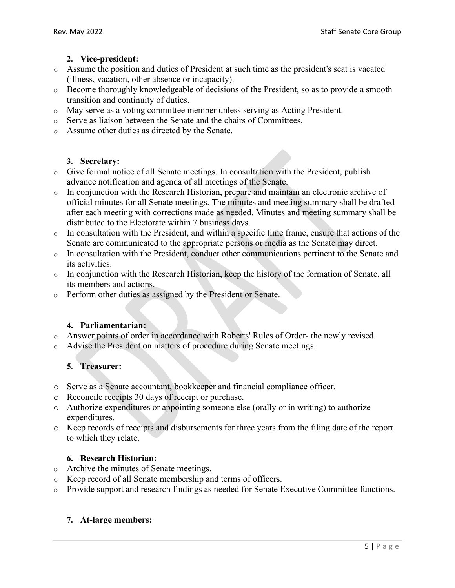## **2. Vice-president:**

- o Assume the position and duties of President at such time as the president's seat is vacated (illness, vacation, other absence or incapacity).
- o Become thoroughly knowledgeable of decisions of the President, so as to provide a smooth transition and continuity of duties.
- o May serve as a voting committee member unless serving as Acting President.
- o Serve as liaison between the Senate and the chairs of Committees.
- o Assume other duties as directed by the Senate.

## **3. Secretary:**

- o Give formal notice of all Senate meetings. In consultation with the President, publish advance notification and agenda of all meetings of the Senate.
- o In conjunction with the Research Historian, prepare and maintain an electronic archive of official minutes for all Senate meetings. The minutes and meeting summary shall be drafted after each meeting with corrections made as needed. Minutes and meeting summary shall be distributed to the Electorate within 7 business days.
- o In consultation with the President, and within a specific time frame, ensure that actions of the Senate are communicated to the appropriate persons or media as the Senate may direct.
- o In consultation with the President, conduct other communications pertinent to the Senate and its activities.
- o In conjunction with the Research Historian, keep the history of the formation of Senate, all its members and actions.
- o Perform other duties as assigned by the President or Senate.

## **4. Parliamentarian:**

- o Answer points of order in accordance with Roberts' Rules of Order- the newly revised.
- o Advise the President on matters of procedure during Senate meetings.

## **5. Treasurer:**

- o Serve as a Senate accountant, bookkeeper and financial compliance officer.
- o Reconcile receipts 30 days of receipt or purchase.
- o Authorize expenditures or appointing someone else (orally or in writing) to authorize expenditures.
- o Keep records of receipts and disbursements for three years from the filing date of the report to which they relate.

## **6. Research Historian:**

- o Archive the minutes of Senate meetings.
- o Keep record of all Senate membership and terms of officers.
- o Provide support and research findings as needed for Senate Executive Committee functions.

## **7. At-large members:**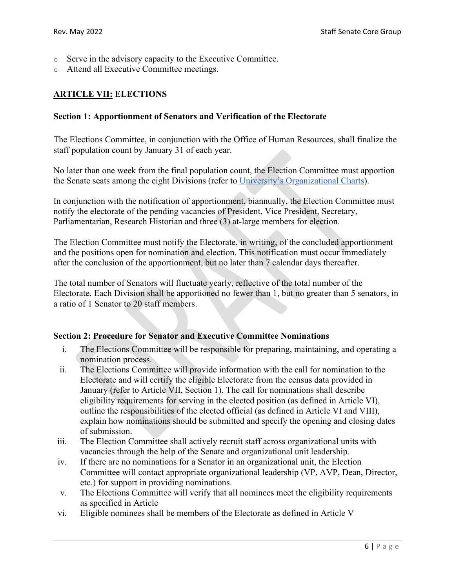- o Serve in the advisory capacity to the Executive Committee.
- o Attend all Executive Committee meetings.

## **ARTICLE VII: ELECTIONS**

#### **Section 1: Apportionment of Senators and Verification of the Electorate**

The Elections Committee, in conjunction with the Office of Human Resources, shall finalize the staff population count by January 31 of each year.

No later than one week from the final population count, the Election Committee must apportion the Senate seats among the eight Divisions (refer to [University's Organizational Charts\)](https://stockton.edu/human-resources/organizational-charts.html).

In conjunction with the notification of apportionment, biannually, the Election Committee must notify the electorate of the pending vacancies of President, Vice President, Secretary, Parliamentarian, Research Historian and three (3) at-large members for election.

The Election Committee must notify the Electorate, in writing, of the concluded apportionment and the positions open for nomination and election. This notification must occur immediately after the conclusion of the apportionment, but no later than 7 calendar days thereafter.

The total number of Senators will fluctuate yearly, reflective of the total number of the Electorate. Each Division shall be apportioned no fewer than 1, but no greater than 5 senators, in a ratio of 1 Senator to 20 staff members.

#### **Section 2: Procedure for Senator and Executive Committee Nominations**

- i. The Elections Committee will be responsible for preparing, maintaining, and operating a nomination process.
- ii. The Elections Committee will provide information with the call for nomination to the Electorate and will certify the eligible Electorate from the census data provided in January (refer to Article VII, Section 1). The call for nominations shall describe eligibility requirements for serving in the elected position (as defined in Article VI), outline the responsibilities of the elected official (as defined in Article VI and VIII), explain how nominations should be submitted and specify the opening and closing dates of submission.
- iii. The Election Committee shall actively recruit staff across organizational units with vacancies through the help of the Senate and organizational unit leadership.
- iv. If there are no nominations for a Senator in an organizational unit, the Election Committee will contact appropriate organizational leadership (VP, AVP, Dean, Director, etc.) for support in providing nominations.
- v. The Elections Committee will verify that all nominees meet the eligibility requirements as specified in Article
- vi. Eligible nominees shall be members of the Electorate as defined in Article V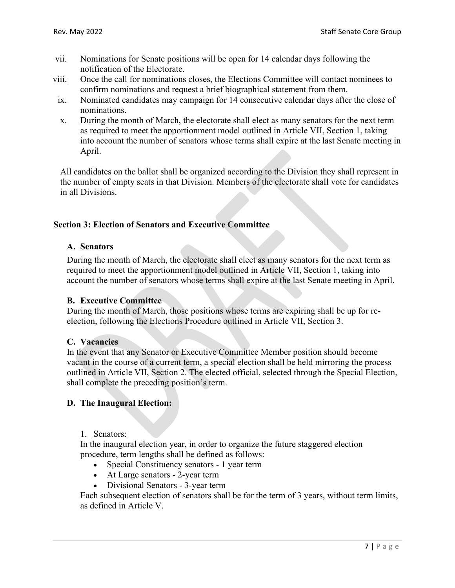- vii. Nominations for Senate positions will be open for 14 calendar days following the notification of the Electorate.
- viii. Once the call for nominations closes, the Elections Committee will contact nominees to confirm nominations and request a brief biographical statement from them.
- ix. Nominated candidates may campaign for 14 consecutive calendar days after the close of nominations.
- x. During the month of March, the electorate shall elect as many senators for the next term as required to meet the apportionment model outlined in Article VII, Section 1, taking into account the number of senators whose terms shall expire at the last Senate meeting in April.

All candidates on the ballot shall be organized according to the Division they shall represent in the number of empty seats in that Division. Members of the electorate shall vote for candidates in all Divisions.

### **Section 3: Election of Senators and Executive Committee**

### **A. Senators**

During the month of March, the electorate shall elect as many senators for the next term as required to meet the apportionment model outlined in Article VII, Section 1, taking into account the number of senators whose terms shall expire at the last Senate meeting in April.

#### **B. Executive Committee**

During the month of March, those positions whose terms are expiring shall be up for reelection, following the Elections Procedure outlined in Article VII, Section 3.

#### **C. Vacancies**

In the event that any Senator or Executive Committee Member position should become vacant in the course of a current term, a special election shall be held mirroring the process outlined in Article VII, Section 2. The elected official, selected through the Special Election, shall complete the preceding position's term.

#### **D. The Inaugural Election:**

#### 1. Senators:

In the inaugural election year, in order to organize the future staggered election procedure, term lengths shall be defined as follows:

- Special Constituency senators 1 year term
- At Large senators 2-year term
- Divisional Senators 3-year term

Each subsequent election of senators shall be for the term of 3 years, without term limits, as defined in Article V.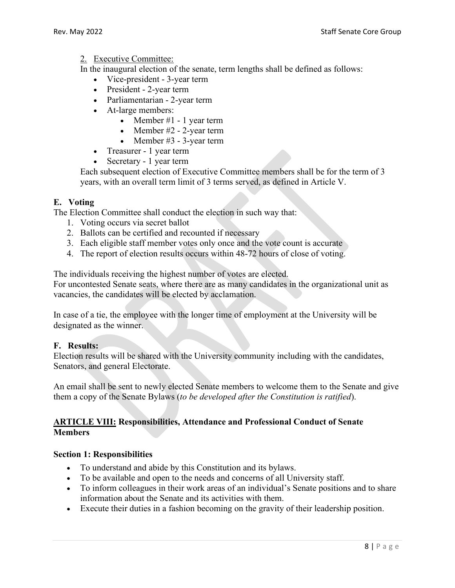### 2. Executive Committee:

In the inaugural election of the senate, term lengths shall be defined as follows:

- Vice-president 3-year term
- President 2-year term
- Parliamentarian 2-year term
- At-large members:
	- Member  $#1 1$  year term
	- Member #2 2-year term
	- Member #3 3-year term
- Treasurer 1 year term
- Secretary 1 year term

Each subsequent election of Executive Committee members shall be for the term of 3 years, with an overall term limit of 3 terms served, as defined in Article V.

## **E. Voting**

The Election Committee shall conduct the election in such way that:

- 1. Voting occurs via secret ballot
- 2. Ballots can be certified and recounted if necessary
- 3. Each eligible staff member votes only once and the vote count is accurate
- 4. The report of election results occurs within 48-72 hours of close of voting.

The individuals receiving the highest number of votes are elected.

For uncontested Senate seats, where there are as many candidates in the organizational unit as vacancies, the candidates will be elected by acclamation.

In case of a tie, the employee with the longer time of employment at the University will be designated as the winner.

#### **F. Results:**

Election results will be shared with the University community including with the candidates, Senators, and general Electorate.

An email shall be sent to newly elected Senate members to welcome them to the Senate and give them a copy of the Senate Bylaws (*to be developed after the Constitution is ratified*).

### **ARTICLE VIII: Responsibilities, Attendance and Professional Conduct of Senate Members**

#### **Section 1: Responsibilities**

- To understand and abide by this Constitution and its bylaws.
- To be available and open to the needs and concerns of all University staff.
- To inform colleagues in their work areas of an individual's Senate positions and to share information about the Senate and its activities with them.
- Execute their duties in a fashion becoming on the gravity of their leadership position.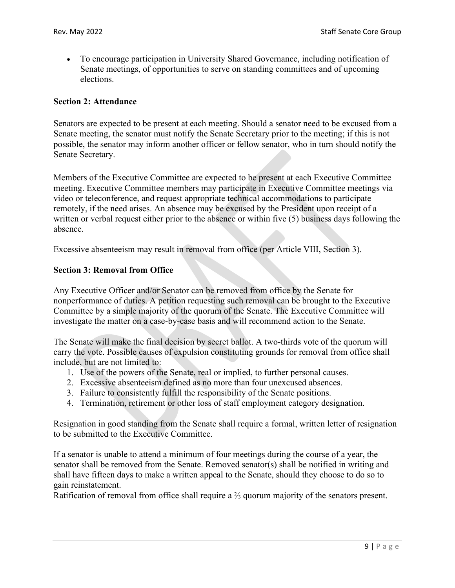• To encourage participation in University Shared Governance, including notification of Senate meetings, of opportunities to serve on standing committees and of upcoming elections.

#### **Section 2: Attendance**

Senators are expected to be present at each meeting. Should a senator need to be excused from a Senate meeting, the senator must notify the Senate Secretary prior to the meeting; if this is not possible, the senator may inform another officer or fellow senator, who in turn should notify the Senate Secretary.

Members of the Executive Committee are expected to be present at each Executive Committee meeting. Executive Committee members may participate in Executive Committee meetings via video or teleconference, and request appropriate technical accommodations to participate remotely, if the need arises. An absence may be excused by the President upon receipt of a written or verbal request either prior to the absence or within five (5) business days following the absence.

Excessive absenteeism may result in removal from office (per Article VIII, Section 3).

### **Section 3: Removal from Office**

Any Executive Officer and/or Senator can be removed from office by the Senate for nonperformance of duties. A petition requesting such removal can be brought to the Executive Committee by a simple majority of the quorum of the Senate. The Executive Committee will investigate the matter on a case-by-case basis and will recommend action to the Senate.

The Senate will make the final decision by secret ballot. A two-thirds vote of the quorum will carry the vote. Possible causes of expulsion constituting grounds for removal from office shall include, but are not limited to:

- 1. Use of the powers of the Senate, real or implied, to further personal causes.
- 2. Excessive absenteeism defined as no more than four unexcused absences.
- 3. Failure to consistently fulfill the responsibility of the Senate positions.
- 4. Termination, retirement or other loss of staff employment category designation.

Resignation in good standing from the Senate shall require a formal, written letter of resignation to be submitted to the Executive Committee.

If a senator is unable to attend a minimum of four meetings during the course of a year, the senator shall be removed from the Senate. Removed senator(s) shall be notified in writing and shall have fifteen days to make a written appeal to the Senate, should they choose to do so to gain reinstatement.

Ratification of removal from office shall require a ⅔ quorum majority of the senators present.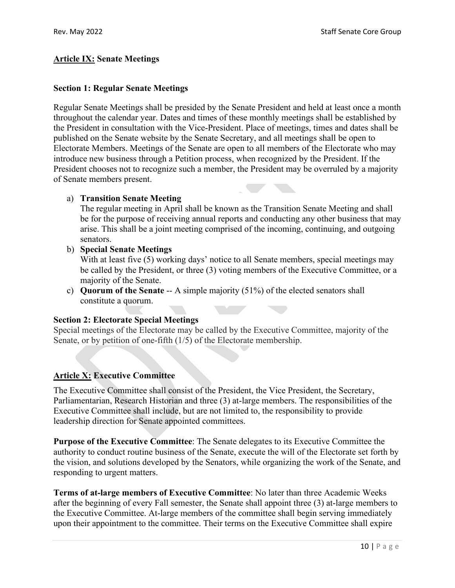## **Article IX: Senate Meetings**

### **Section 1: Regular Senate Meetings**

Regular Senate Meetings shall be presided by the Senate President and held at least once a month throughout the calendar year. Dates and times of these monthly meetings shall be established by the President in consultation with the Vice-President. Place of meetings, times and dates shall be published on the Senate website by the Senate Secretary, and all meetings shall be open to Electorate Members. Meetings of the Senate are open to all members of the Electorate who may introduce new business through a Petition process, when recognized by the President. If the President chooses not to recognize such a member, the President may be overruled by a majority of Senate members present.

### a) **Transition Senate Meeting**

The regular meeting in April shall be known as the Transition Senate Meeting and shall be for the purpose of receiving annual reports and conducting any other business that may arise. This shall be a joint meeting comprised of the incoming, continuing, and outgoing senators.

b) **Special Senate Meetings**

With at least five (5) working days' notice to all Senate members, special meetings may be called by the President, or three (3) voting members of the Executive Committee, or a majority of the Senate.

c) **Quorum of the Senate** -- A simple majority (51%) of the elected senators shall constitute a quorum.

## **Section 2: Electorate Special Meetings**

Special meetings of the Electorate may be called by the Executive Committee, majority of the Senate, or by petition of one-fifth (1/5) of the Electorate membership.

## **Article X: Executive Committee**

The Executive Committee shall consist of the President, the Vice President, the Secretary, Parliamentarian, Research Historian and three (3) at-large members. The responsibilities of the Executive Committee shall include, but are not limited to, the responsibility to provide leadership direction for Senate appointed committees.

**Purpose of the Executive Committee**: The Senate delegates to its Executive Committee the authority to conduct routine business of the Senate, execute the will of the Electorate set forth by the vision, and solutions developed by the Senators, while organizing the work of the Senate, and responding to urgent matters.

**Terms of at-large members of Executive Committee**: No later than three Academic Weeks after the beginning of every Fall semester, the Senate shall appoint three (3) at-large members to the Executive Committee. At-large members of the committee shall begin serving immediately upon their appointment to the committee. Their terms on the Executive Committee shall expire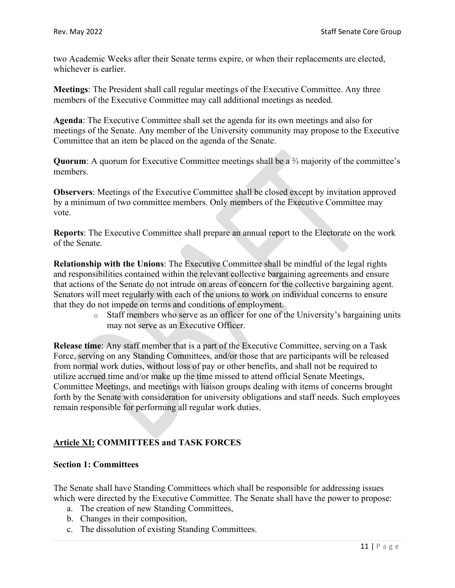two Academic Weeks after their Senate terms expire, or when their replacements are elected, whichever is earlier.

**Meetings**: The President shall call regular meetings of the Executive Committee. Any three members of the Executive Committee may call additional meetings as needed.

**Agenda**: The Executive Committee shall set the agenda for its own meetings and also for meetings of the Senate. Any member of the University community may propose to the Executive Committee that an item be placed on the agenda of the Senate.

**Quorum**: A quorum for Executive Committee meetings shall be a ⅔ majority of the committee's members.

**Observers**: Meetings of the Executive Committee shall be closed except by invitation approved by a minimum of two committee members. Only members of the Executive Committee may vote.

**Reports**: The Executive Committee shall prepare an annual report to the Electorate on the work of the Senate.

**Relationship with the Unions**: The Executive Committee shall be mindful of the legal rights and responsibilities contained within the relevant collective bargaining agreements and ensure that actions of the Senate do not intrude on areas of concern for the collective bargaining agent. Senators will meet regularly with each of the unions to work on individual concerns to ensure that they do not impede on terms and conditions of employment.

> o Staff members who serve as an officer for one of the University's bargaining units may not serve as an Executive Officer.

**Release time**: Any staff member that is a part of the Executive Committee, serving on a Task Force, serving on any Standing Committees, and/or those that are participants will be released from normal work duties, without loss of pay or other benefits, and shall not be required to utilize accrued time and/or make up the time missed to attend official Senate Meetings, Committee Meetings, and meetings with liaison groups dealing with items of concerns brought forth by the Senate with consideration for university obligations and staff needs. Such employees remain responsible for performing all regular work duties.

# **Article XI: COMMITTEES and TASK FORCES**

## **Section 1: Committees**

The Senate shall have Standing Committees which shall be responsible for addressing issues which were directed by the Executive Committee. The Senate shall have the power to propose:

- a. The creation of new Standing Committees,
- b. Changes in their composition,
- c. The dissolution of existing Standing Committees.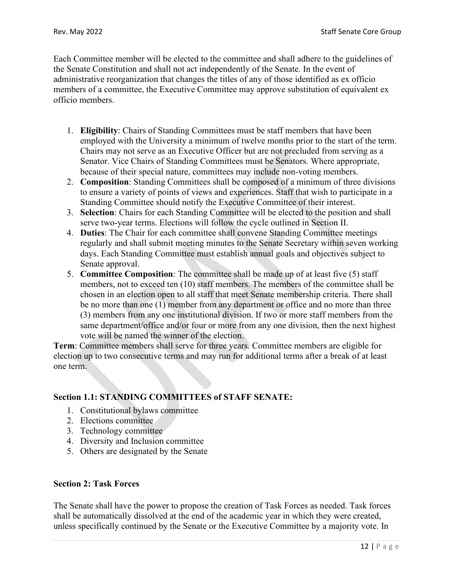Each Committee member will be elected to the committee and shall adhere to the guidelines of the Senate Constitution and shall not act independently of the Senate. In the event of administrative reorganization that changes the titles of any of those identified as ex officio members of a committee, the Executive Committee may approve substitution of equivalent ex officio members.

- 1. **Eligibility**: Chairs of Standing Committees must be staff members that have been employed with the University a minimum of twelve months prior to the start of the term. Chairs may not serve as an Executive Officer but are not precluded from serving as a Senator. Vice Chairs of Standing Committees must be Senators. Where appropriate, because of their special nature, committees may include non-voting members.
- 2. **Composition**: Standing Committees shall be composed of a minimum of three divisions to ensure a variety of points of views and experiences. Staff that wish to participate in a Standing Committee should notify the Executive Committee of their interest.
- 3. **Selection**: Chairs for each Standing Committee will be elected to the position and shall serve two-year terms. Elections will follow the cycle outlined in Section II.
- 4. **Duties**: The Chair for each committee shall convene Standing Committee meetings regularly and shall submit meeting minutes to the Senate Secretary within seven working days. Each Standing Committee must establish annual goals and objectives subject to Senate approval.
- 5. **Committee Composition**: The committee shall be made up of at least five (5) staff members, not to exceed ten (10) staff members. The members of the committee shall be chosen in an election open to all staff that meet Senate membership criteria. There shall be no more than one (1) member from any department or office and no more than three (3) members from any one institutional division. If two or more staff members from the same department/office and/or four or more from any one division, then the next highest vote will be named the winner of the election.

**Term**: Committee members shall serve for three years. Committee members are eligible for election up to two consecutive terms and may run for additional terms after a break of at least one term.

## **Section 1.1: STANDING COMMITTEES of STAFF SENATE:**

- 1. Constitutional bylaws committee
- 2. Elections committee
- 3. Technology committee
- 4. Diversity and Inclusion committee
- 5. Others are designated by the Senate

## **Section 2: Task Forces**

The Senate shall have the power to propose the creation of Task Forces as needed. Task forces shall be automatically dissolved at the end of the academic year in which they were created, unless specifically continued by the Senate or the Executive Committee by a majority vote. In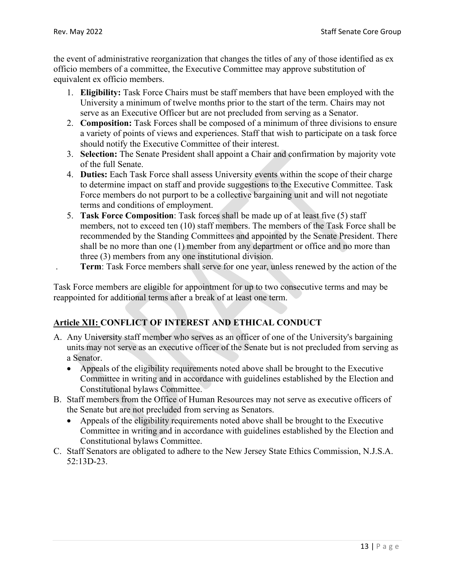the event of administrative reorganization that changes the titles of any of those identified as ex officio members of a committee, the Executive Committee may approve substitution of equivalent ex officio members.

- 1. **Eligibility:** Task Force Chairs must be staff members that have been employed with the University a minimum of twelve months prior to the start of the term. Chairs may not serve as an Executive Officer but are not precluded from serving as a Senator.
- 2. **Composition:** Task Forces shall be composed of a minimum of three divisions to ensure a variety of points of views and experiences. Staff that wish to participate on a task force should notify the Executive Committee of their interest.
- 3. **Selection:** The Senate President shall appoint a Chair and confirmation by majority vote of the full Senate.
- 4. **Duties:** Each Task Force shall assess University events within the scope of their charge to determine impact on staff and provide suggestions to the Executive Committee. Task Force members do not purport to be a collective bargaining unit and will not negotiate terms and conditions of employment.
- 5. **Task Force Composition**: Task forces shall be made up of at least five (5) staff members, not to exceed ten (10) staff members. The members of the Task Force shall be recommended by the Standing Committees and appointed by the Senate President. There shall be no more than one (1) member from any department or office and no more than three (3) members from any one institutional division.
	- . **Term**: Task Force members shall serve for one year, unless renewed by the action of the

Task Force members are eligible for appointment for up to two consecutive terms and may be reappointed for additional terms after a break of at least one term.

# **Article XII: CONFLICT OF INTEREST AND ETHICAL CONDUCT**

- A. Any University staff member who serves as an officer of one of the University's bargaining units may not serve as an executive officer of the Senate but is not precluded from serving as a Senator.
	- Appeals of the eligibility requirements noted above shall be brought to the Executive Committee in writing and in accordance with guidelines established by the Election and Constitutional bylaws Committee.
- B. Staff members from the Office of Human Resources may not serve as executive officers of the Senate but are not precluded from serving as Senators.
	- Appeals of the eligibility requirements noted above shall be brought to the Executive Committee in writing and in accordance with guidelines established by the Election and Constitutional bylaws Committee.
- C. Staff Senators are obligated to adhere to the New Jersey State Ethics Commission, N.J.S.A. 52:13D-23.